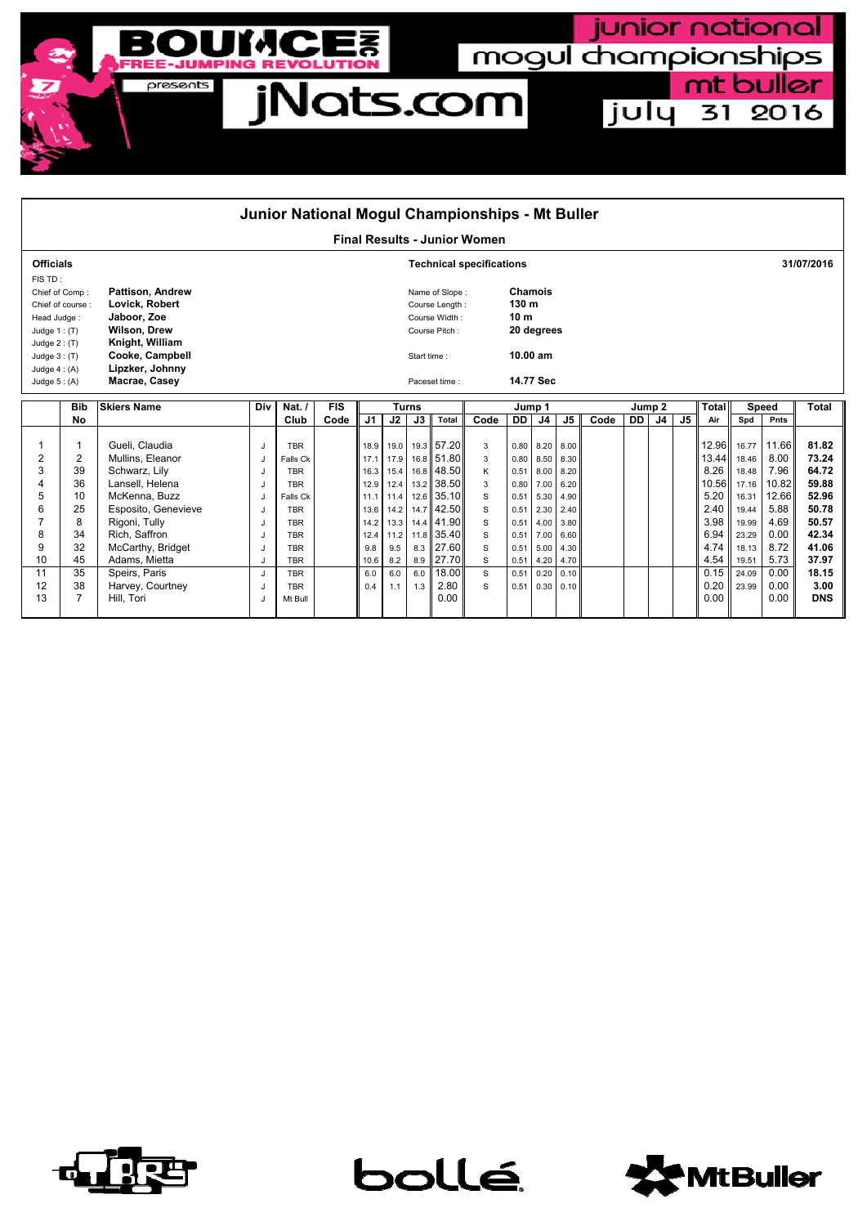

| <b>Final Results - Junior Women</b><br><b>Officials</b><br><b>Technical specifications</b><br>FIS TD:<br><b>Pattison, Andrew</b><br>Chamois<br>Chief of Comp:<br>Name of Slope:<br>130 m<br>Lovick, Robert<br>Chief of course:<br>Course Length:<br>Jaboor, Zoe<br>10 <sub>m</sub><br>Course Width:<br>Head Judge:<br><b>Wilson, Drew</b><br>20 degrees<br>Course Pitch:<br>Judge $1:$ (T)<br>Knight, William<br>Judge $2: (T)$<br>Cooke, Campbell<br>10.00 am<br>Judge $3:$ (T)<br>Start time:<br>Lipzker, Johnny<br>Judge $4: (A)$<br>Macrae, Casey<br>14.77 Sec<br>Judge $5: (A)$<br>Paceset time:<br><b>FIS</b><br><b>Total</b><br><b>Skiers Name</b><br>Nat. $/$<br><b>Bib</b><br>Div<br><b>Turns</b><br>Jump <sub>2</sub><br><b>Speed</b><br>Jump 1 | Junior National Mogul Championships - Mt Buller |  |  |  |  |  |  |  |  |  |  |  |  |  |  |
|-----------------------------------------------------------------------------------------------------------------------------------------------------------------------------------------------------------------------------------------------------------------------------------------------------------------------------------------------------------------------------------------------------------------------------------------------------------------------------------------------------------------------------------------------------------------------------------------------------------------------------------------------------------------------------------------------------------------------------------------------------------|-------------------------------------------------|--|--|--|--|--|--|--|--|--|--|--|--|--|--|
|                                                                                                                                                                                                                                                                                                                                                                                                                                                                                                                                                                                                                                                                                                                                                           |                                                 |  |  |  |  |  |  |  |  |  |  |  |  |  |  |
|                                                                                                                                                                                                                                                                                                                                                                                                                                                                                                                                                                                                                                                                                                                                                           | 31/07/2016                                      |  |  |  |  |  |  |  |  |  |  |  |  |  |  |
|                                                                                                                                                                                                                                                                                                                                                                                                                                                                                                                                                                                                                                                                                                                                                           |                                                 |  |  |  |  |  |  |  |  |  |  |  |  |  |  |
|                                                                                                                                                                                                                                                                                                                                                                                                                                                                                                                                                                                                                                                                                                                                                           |                                                 |  |  |  |  |  |  |  |  |  |  |  |  |  |  |
|                                                                                                                                                                                                                                                                                                                                                                                                                                                                                                                                                                                                                                                                                                                                                           |                                                 |  |  |  |  |  |  |  |  |  |  |  |  |  |  |
|                                                                                                                                                                                                                                                                                                                                                                                                                                                                                                                                                                                                                                                                                                                                                           |                                                 |  |  |  |  |  |  |  |  |  |  |  |  |  |  |
|                                                                                                                                                                                                                                                                                                                                                                                                                                                                                                                                                                                                                                                                                                                                                           |                                                 |  |  |  |  |  |  |  |  |  |  |  |  |  |  |
|                                                                                                                                                                                                                                                                                                                                                                                                                                                                                                                                                                                                                                                                                                                                                           |                                                 |  |  |  |  |  |  |  |  |  |  |  |  |  |  |
|                                                                                                                                                                                                                                                                                                                                                                                                                                                                                                                                                                                                                                                                                                                                                           |                                                 |  |  |  |  |  |  |  |  |  |  |  |  |  |  |
|                                                                                                                                                                                                                                                                                                                                                                                                                                                                                                                                                                                                                                                                                                                                                           |                                                 |  |  |  |  |  |  |  |  |  |  |  |  |  |  |
|                                                                                                                                                                                                                                                                                                                                                                                                                                                                                                                                                                                                                                                                                                                                                           | Total                                           |  |  |  |  |  |  |  |  |  |  |  |  |  |  |
| J <sub>5</sub><br>J3<br>DD<br>J5<br>J <sub>4</sub><br>No<br>Code<br>J2<br>Total<br>Code<br>Code<br><b>DD</b><br>Club<br>J1<br>J4<br>Spd<br>Pnts<br>Air                                                                                                                                                                                                                                                                                                                                                                                                                                                                                                                                                                                                    |                                                 |  |  |  |  |  |  |  |  |  |  |  |  |  |  |
| 19.3 57.20<br>Gueli, Claudia<br>12.96<br>11.66<br>16.77<br>1<br><b>TBR</b><br>19.0<br>$0.80$ 8.20 8.00<br>18.9<br>3<br>J                                                                                                                                                                                                                                                                                                                                                                                                                                                                                                                                                                                                                                  | 81.82                                           |  |  |  |  |  |  |  |  |  |  |  |  |  |  |
| 2<br>2<br>16.8 51.80<br>13.44<br>8.00<br>Mullins, Eleanor<br>8.50<br>17.1<br>17.9<br>3<br>18.46<br>Falls Ck<br>0.80<br>8.30<br>J                                                                                                                                                                                                                                                                                                                                                                                                                                                                                                                                                                                                                          | 73.24                                           |  |  |  |  |  |  |  |  |  |  |  |  |  |  |
| 7.96<br>3<br>16.8 48.50<br>8.26<br>Schwarz, Lily<br>39<br>Κ<br>15.4<br>$0.51$ 8.00<br>18.48<br><b>TBR</b><br>16.3<br>8.20<br>J                                                                                                                                                                                                                                                                                                                                                                                                                                                                                                                                                                                                                            | 64.72                                           |  |  |  |  |  |  |  |  |  |  |  |  |  |  |
| 36<br>13.2 38.50<br>Lansell, Helena<br>10.56<br>10.82<br>17.16<br>7.00<br><b>TBR</b><br>12.9<br>12.4<br>3<br>0.80<br>6.20                                                                                                                                                                                                                                                                                                                                                                                                                                                                                                                                                                                                                                 | 59.88                                           |  |  |  |  |  |  |  |  |  |  |  |  |  |  |
| 5<br>12.6 35.10<br>5.20<br>10<br>McKenna, Buzz<br>12.66<br>S<br>5.30<br>16.31<br>Falls Ck<br>11.1<br>11.4<br>0.51<br>4.90<br>J                                                                                                                                                                                                                                                                                                                                                                                                                                                                                                                                                                                                                            | 52.96                                           |  |  |  |  |  |  |  |  |  |  |  |  |  |  |
| 14.7 42.50<br>2.40<br>6<br>25<br>Esposito, Genevieve<br>5.88<br>S<br>$0.51$ 2.30<br>19.44<br><b>TBR</b><br>13.6 14.2<br>2.40<br>J<br>8<br>3.98<br>4.69                                                                                                                                                                                                                                                                                                                                                                                                                                                                                                                                                                                                    | 50.78<br>50.57                                  |  |  |  |  |  |  |  |  |  |  |  |  |  |  |
| Rigoni, Tully<br>14.4 41.90<br>S<br>13.3<br>$0.51$ 4.00<br>19.99<br><b>TBR</b><br>14.2<br>3.80<br>J<br>34<br>Rich, Saffron<br>6.94<br>0.00<br>8<br>11.8 35.40<br>s<br>7.00<br>23.29<br>12.4<br><b>TBR</b><br>11.2<br>0.51<br>6.60<br>J                                                                                                                                                                                                                                                                                                                                                                                                                                                                                                                    | 42.34                                           |  |  |  |  |  |  |  |  |  |  |  |  |  |  |
| 9<br>32<br>8.3 27.60<br>4.74<br>8.72<br>McCarthy, Bridget<br>S<br>9.8<br>9.5<br>$0.51$ 5.00<br>18.13<br><b>TBR</b><br>J<br>4.30                                                                                                                                                                                                                                                                                                                                                                                                                                                                                                                                                                                                                           | 41.06                                           |  |  |  |  |  |  |  |  |  |  |  |  |  |  |
| 45<br>10<br>Adams, Mietta<br>8.9 27.70<br>4.54<br>5.73<br>S<br><b>TBR</b><br>10.6<br>8.2<br>$0.51$ 4.20<br>19.51<br>4.70                                                                                                                                                                                                                                                                                                                                                                                                                                                                                                                                                                                                                                  | 37.97                                           |  |  |  |  |  |  |  |  |  |  |  |  |  |  |
| 11<br>35<br>18.00<br>0.15<br>0.00<br>Speirs, Paris<br>S<br>6.0<br>6.0<br>0.20<br>24.09<br><b>TBR</b><br>6.0<br>0.51<br>0.10<br>J                                                                                                                                                                                                                                                                                                                                                                                                                                                                                                                                                                                                                          | 18.15                                           |  |  |  |  |  |  |  |  |  |  |  |  |  |  |
| 0.20<br>2.80<br>12<br>38<br>Harvey, Courtney<br>0.00<br>S<br>23.99<br><b>TBR</b><br>1.3<br>$0.51 \quad 0.30$<br>0.4<br>1.1<br>0.10<br>J.                                                                                                                                                                                                                                                                                                                                                                                                                                                                                                                                                                                                                  | 3.00                                            |  |  |  |  |  |  |  |  |  |  |  |  |  |  |
| 13<br>7<br>0.00<br>Hill, Tori<br>0.00<br>0.00<br>Mt Bull                                                                                                                                                                                                                                                                                                                                                                                                                                                                                                                                                                                                                                                                                                  | <b>DNS</b>                                      |  |  |  |  |  |  |  |  |  |  |  |  |  |  |



bollé



junior national

july 31 2016